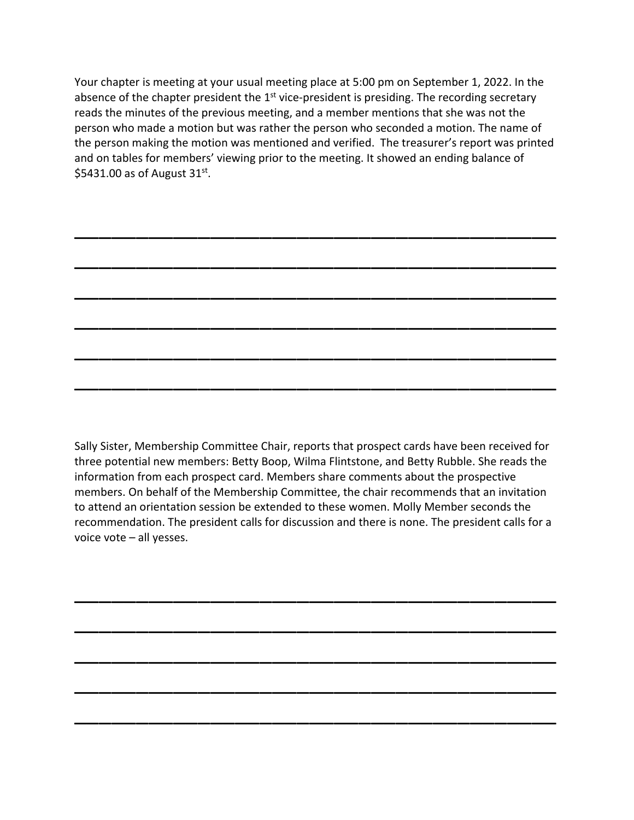Your chapter is meeting at your usual meeting place at 5:00 pm on September 1, 2022. In the absence of the chapter president the  $1<sup>st</sup>$  vice-president is presiding. The recording secretary reads the minutes of the previous meeting, and a member mentions that she was not the person who made a motion but was rather the person who seconded a motion. The name of the person making the motion was mentioned and verified. The treasurer's report was printed and on tables for members' viewing prior to the meeting. It showed an ending balance of \$5431.00 as of August  $31^{st}$ .

\_\_\_\_\_\_\_\_\_\_\_\_\_\_\_\_\_\_\_\_\_\_\_\_\_\_\_\_\_\_\_\_\_\_\_\_\_\_\_

\_\_\_\_\_\_\_\_\_\_\_\_\_\_\_\_\_\_\_\_\_\_\_\_\_\_\_\_\_\_\_\_\_\_\_\_\_\_\_

\_\_\_\_\_\_\_\_\_\_\_\_\_\_\_\_\_\_\_\_\_\_\_\_\_\_\_\_\_\_\_\_\_\_\_\_\_\_\_

\_\_\_\_\_\_\_\_\_\_\_\_\_\_\_\_\_\_\_\_\_\_\_\_\_\_\_\_\_\_\_\_\_\_\_\_\_\_\_

\_\_\_\_\_\_\_\_\_\_\_\_\_\_\_\_\_\_\_\_\_\_\_\_\_\_\_\_\_\_\_\_\_\_\_\_\_\_\_

\_\_\_\_\_\_\_\_\_\_\_\_\_\_\_\_\_\_\_\_\_\_\_\_\_\_\_\_\_\_\_\_\_\_\_\_\_\_\_

Sally Sister, Membership Committee Chair, reports that prospect cards have been received for three potential new members: Betty Boop, Wilma Flintstone, and Betty Rubble. She reads the information from each prospect card. Members share comments about the prospective members. On behalf of the Membership Committee, the chair recommends that an invitation to attend an orientation session be extended to these women. Molly Member seconds the recommendation. The president calls for discussion and there is none. The president calls for a voice vote – all yesses.

\_\_\_\_\_\_\_\_\_\_\_\_\_\_\_\_\_\_\_\_\_\_\_\_\_\_\_\_\_\_\_\_\_\_\_\_\_\_\_

\_\_\_\_\_\_\_\_\_\_\_\_\_\_\_\_\_\_\_\_\_\_\_\_\_\_\_\_\_\_\_\_\_\_\_\_\_\_\_

\_\_\_\_\_\_\_\_\_\_\_\_\_\_\_\_\_\_\_\_\_\_\_\_\_\_\_\_\_\_\_\_\_\_\_\_\_\_\_

\_\_\_\_\_\_\_\_\_\_\_\_\_\_\_\_\_\_\_\_\_\_\_\_\_\_\_\_\_\_\_\_\_\_\_\_\_\_\_

\_\_\_\_\_\_\_\_\_\_\_\_\_\_\_\_\_\_\_\_\_\_\_\_\_\_\_\_\_\_\_\_\_\_\_\_\_\_\_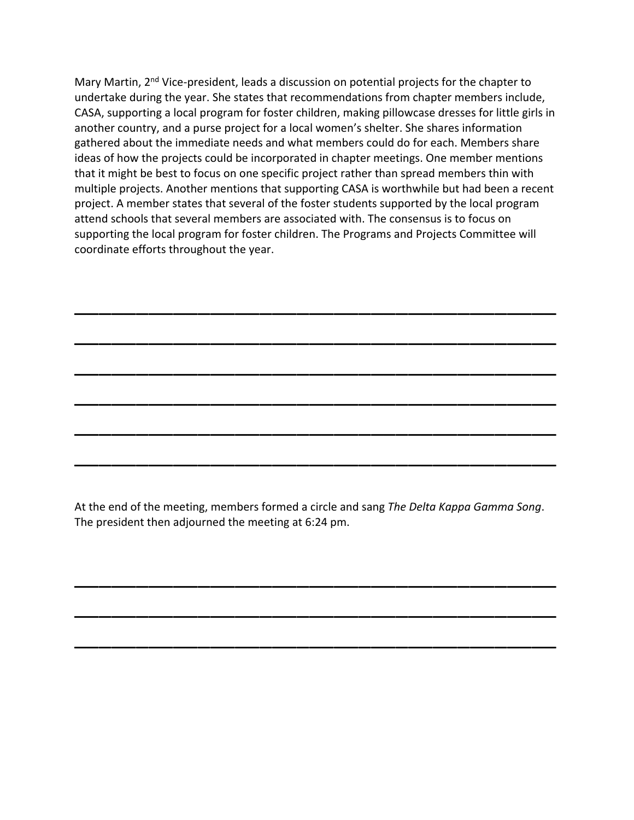Mary Martin, 2<sup>nd</sup> Vice-president, leads a discussion on potential projects for the chapter to undertake during the year. She states that recommendations from chapter members include, CASA, supporting a local program for foster children, making pillowcase dresses for little girls in another country, and a purse project for a local women's shelter. She shares information gathered about the immediate needs and what members could do for each. Members share ideas of how the projects could be incorporated in chapter meetings. One member mentions that it might be best to focus on one specific project rather than spread members thin with multiple projects. Another mentions that supporting CASA is worthwhile but had been a recent project. A member states that several of the foster students supported by the local program attend schools that several members are associated with. The consensus is to focus on supporting the local program for foster children. The Programs and Projects Committee will coordinate efforts throughout the year.

\_\_\_\_\_\_\_\_\_\_\_\_\_\_\_\_\_\_\_\_\_\_\_\_\_\_\_\_\_\_\_\_\_\_\_\_\_\_\_

\_\_\_\_\_\_\_\_\_\_\_\_\_\_\_\_\_\_\_\_\_\_\_\_\_\_\_\_\_\_\_\_\_\_\_\_\_\_\_

\_\_\_\_\_\_\_\_\_\_\_\_\_\_\_\_\_\_\_\_\_\_\_\_\_\_\_\_\_\_\_\_\_\_\_\_\_\_\_

\_\_\_\_\_\_\_\_\_\_\_\_\_\_\_\_\_\_\_\_\_\_\_\_\_\_\_\_\_\_\_\_\_\_\_\_\_\_\_

\_\_\_\_\_\_\_\_\_\_\_\_\_\_\_\_\_\_\_\_\_\_\_\_\_\_\_\_\_\_\_\_\_\_\_\_\_\_\_

\_\_\_\_\_\_\_\_\_\_\_\_\_\_\_\_\_\_\_\_\_\_\_\_\_\_\_\_\_\_\_\_\_\_\_\_\_\_\_

At the end of the meeting, members formed a circle and sang *The Delta Kappa Gamma Song*. The president then adjourned the meeting at 6:24 pm.

\_\_\_\_\_\_\_\_\_\_\_\_\_\_\_\_\_\_\_\_\_\_\_\_\_\_\_\_\_\_\_\_\_\_\_\_\_\_\_

\_\_\_\_\_\_\_\_\_\_\_\_\_\_\_\_\_\_\_\_\_\_\_\_\_\_\_\_\_\_\_\_\_\_\_\_\_\_\_

\_\_\_\_\_\_\_\_\_\_\_\_\_\_\_\_\_\_\_\_\_\_\_\_\_\_\_\_\_\_\_\_\_\_\_\_\_\_\_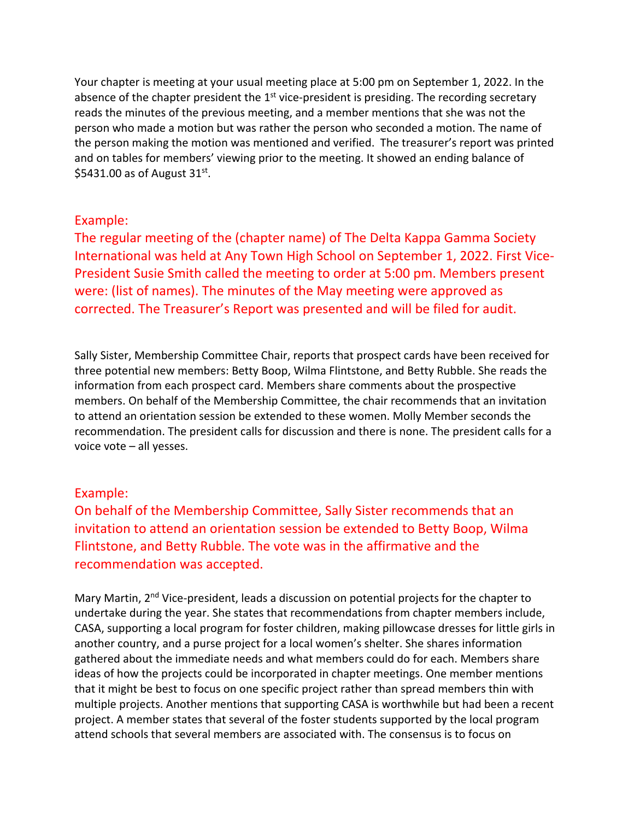Your chapter is meeting at your usual meeting place at 5:00 pm on September 1, 2022. In the absence of the chapter president the  $1<sup>st</sup>$  vice-president is presiding. The recording secretary reads the minutes of the previous meeting, and a member mentions that she was not the person who made a motion but was rather the person who seconded a motion. The name of the person making the motion was mentioned and verified. The treasurer's report was printed and on tables for members' viewing prior to the meeting. It showed an ending balance of \$5431.00 as of August  $31<sup>st</sup>$ .

## Example:

The regular meeting of the (chapter name) of The Delta Kappa Gamma Society International was held at Any Town High School on September 1, 2022. First Vice-President Susie Smith called the meeting to order at 5:00 pm. Members present were: (list of names). The minutes of the May meeting were approved as corrected. The Treasurer's Report was presented and will be filed for audit.

Sally Sister, Membership Committee Chair, reports that prospect cards have been received for three potential new members: Betty Boop, Wilma Flintstone, and Betty Rubble. She reads the information from each prospect card. Members share comments about the prospective members. On behalf of the Membership Committee, the chair recommends that an invitation to attend an orientation session be extended to these women. Molly Member seconds the recommendation. The president calls for discussion and there is none. The president calls for a voice vote – all yesses.

## Example:

On behalf of the Membership Committee, Sally Sister recommends that an invitation to attend an orientation session be extended to Betty Boop, Wilma Flintstone, and Betty Rubble. The vote was in the affirmative and the recommendation was accepted.

Mary Martin, 2<sup>nd</sup> Vice-president, leads a discussion on potential projects for the chapter to undertake during the year. She states that recommendations from chapter members include, CASA, supporting a local program for foster children, making pillowcase dresses for little girls in another country, and a purse project for a local women's shelter. She shares information gathered about the immediate needs and what members could do for each. Members share ideas of how the projects could be incorporated in chapter meetings. One member mentions that it might be best to focus on one specific project rather than spread members thin with multiple projects. Another mentions that supporting CASA is worthwhile but had been a recent project. A member states that several of the foster students supported by the local program attend schools that several members are associated with. The consensus is to focus on